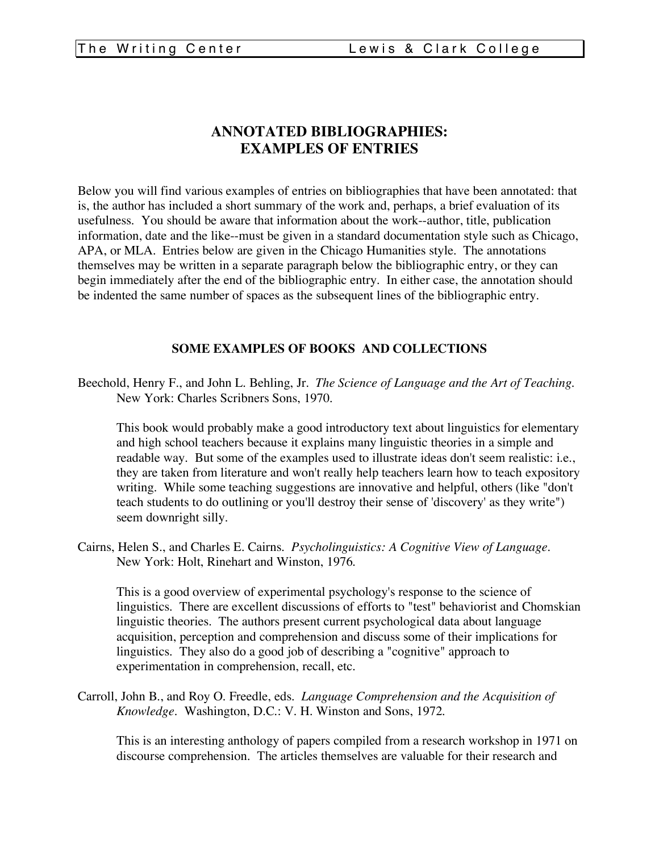## **ANNOTATED BIBLIOGRAPHIES: EXAMPLES OF ENTRIES**

Below you will find various examples of entries on bibliographies that have been annotated: that is, the author has included a short summary of the work and, perhaps, a brief evaluation of its usefulness. You should be aware that information about the work--author, title, publication information, date and the like--must be given in a standard documentation style such as Chicago, APA, or MLA. Entries below are given in the Chicago Humanities style. The annotations themselves may be written in a separate paragraph below the bibliographic entry, or they can begin immediately after the end of the bibliographic entry. In either case, the annotation should be indented the same number of spaces as the subsequent lines of the bibliographic entry.

## **SOME EXAMPLES OF BOOKS AND COLLECTIONS**

Beechold, Henry F., and John L. Behling, Jr. *The Science of Language and the Art of Teaching*. New York: Charles Scribners Sons, 1970.

This book would probably make a good introductory text about linguistics for elementary and high school teachers because it explains many linguistic theories in a simple and readable way. But some of the examples used to illustrate ideas don't seem realistic: i.e., they are taken from literature and won't really help teachers learn how to teach expository writing. While some teaching suggestions are innovative and helpful, others (like "don't teach students to do outlining or you'll destroy their sense of 'discovery' as they write") seem downright silly.

Cairns, Helen S., and Charles E. Cairns. *Psycholinguistics: A Cognitive View of Language*. New York: Holt, Rinehart and Winston, 1976.

This is a good overview of experimental psychology's response to the science of linguistics. There are excellent discussions of efforts to "test" behaviorist and Chomskian linguistic theories. The authors present current psychological data about language acquisition, perception and comprehension and discuss some of their implications for linguistics. They also do a good job of describing a "cognitive" approach to experimentation in comprehension, recall, etc.

Carroll, John B., and Roy O. Freedle, eds. *Language Comprehension and the Acquisition of Knowledge*. Washington, D.C.: V. H. Winston and Sons, 1972.

This is an interesting anthology of papers compiled from a research workshop in 1971 on discourse comprehension. The articles themselves are valuable for their research and